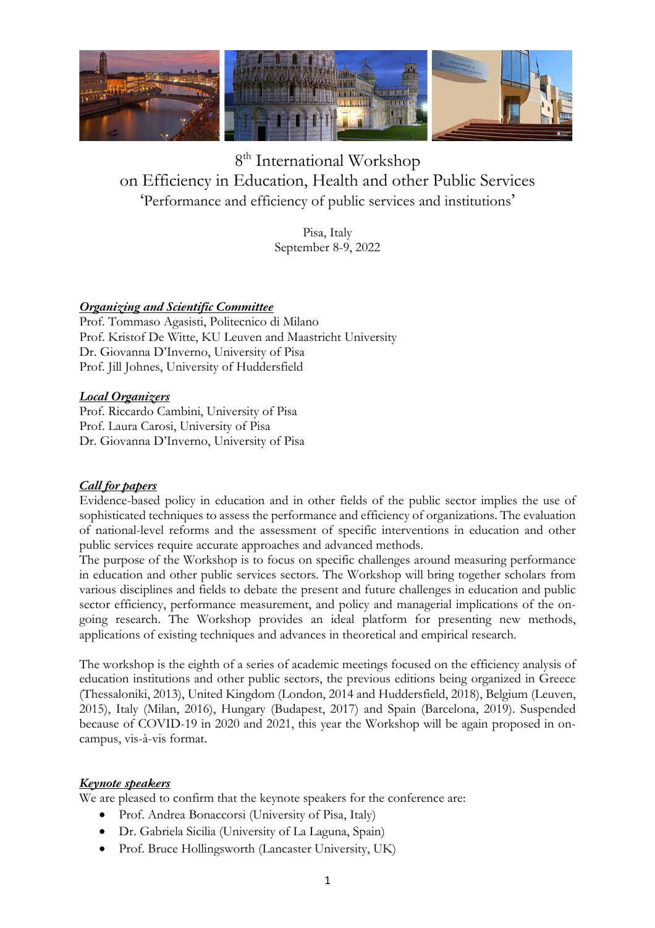

# 8<sup>th</sup> International Workshop on Efficiency in Education, Health and other Public Services 'Performance and efficiency of public services and institutions'

Pisa, Italy September 8-9, 2022

## *Organizing and Scientific Committee*

Prof. Tommaso Agasisti, Politecnico di Milano Prof. Kristof De Witte, KU Leuven and Maastricht University Dr. Giovanna D'Inverno, University of Pisa Prof. Jill Johnes, University of Huddersfield

## *Local Organizers*

Prof. Riccardo Cambini, University of Pisa Prof. Laura Carosi, University of Pisa Dr. Giovanna D'Inverno, University of Pisa

## *Call for papers*

Evidence-based policy in education and in other fields of the public sector implies the use of sophisticated techniques to assess the performance and efficiency of organizations. The evaluation of national-level reforms and the assessment of specific interventions in education and other public services require accurate approaches and advanced methods.

The purpose of the Workshop is to focus on specific challenges around measuring performance in education and other public services sectors. The Workshop will bring together scholars from various disciplines and fields to debate the present and future challenges in education and public sector efficiency, performance measurement, and policy and managerial implications of the ongoing research. The Workshop provides an ideal platform for presenting new methods, applications of existing techniques and advances in theoretical and empirical research.

The workshop is the eighth of a series of academic meetings focused on the efficiency analysis of education institutions and other public sectors, the previous editions being organized in Greece (Thessaloniki, 2013), United Kingdom (London, 2014 and Huddersfield, 2018), Belgium (Leuven, 2015), Italy (Milan, 2016), Hungary (Budapest, 2017) and Spain (Barcelona, 2019). Suspended because of COVID-19 in 2020 and 2021, this year the Workshop will be again proposed in oncampus, vis-à-vis format.

## *Keynote speakers*

We are pleased to confirm that the keynote speakers for the conference are:

- Prof. Andrea Bonaccorsi (University of Pisa, Italy)
- Dr. Gabriela Sicilia (University of La Laguna, Spain)
- Prof. Bruce Hollingsworth (Lancaster University, UK)